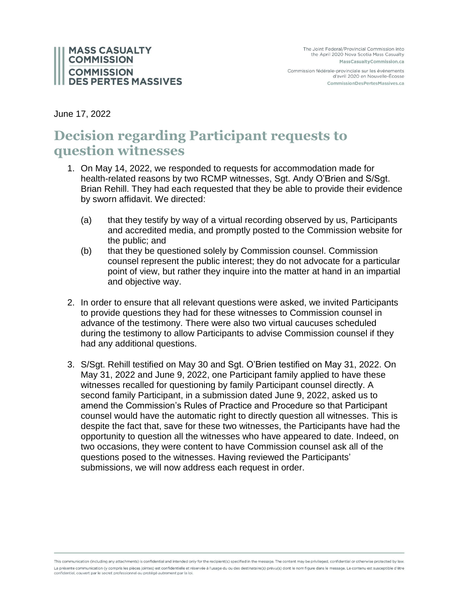

Commission fédérale-provinciale sur les événements d'avril 2020 en Nouvelle-Écosse CommissionDesPertesMassives.ca

June 17, 2022

# **Decision regarding Participant requests to question witnesses**

- 1. On May 14, 2022, we responded to requests for accommodation made for health-related reasons by two RCMP witnesses, Sgt. Andy O'Brien and S/Sgt. Brian Rehill. They had each requested that they be able to provide their evidence by sworn affidavit. We directed:
	- (a) that they testify by way of a virtual recording observed by us, Participants and accredited media, and promptly posted to the Commission website for the public; and
	- (b) that they be questioned solely by Commission counsel. Commission counsel represent the public interest; they do not advocate for a particular point of view, but rather they inquire into the matter at hand in an impartial and objective way.
- 2. In order to ensure that all relevant questions were asked, we invited Participants to provide questions they had for these witnesses to Commission counsel in advance of the testimony. There were also two virtual caucuses scheduled during the testimony to allow Participants to advise Commission counsel if they had any additional questions.
- 3. S/Sgt. Rehill testified on May 30 and Sgt. O'Brien testified on May 31, 2022. On May 31, 2022 and June 9, 2022, one Participant family applied to have these witnesses recalled for questioning by family Participant counsel directly. A second family Participant, in a submission dated June 9, 2022, asked us to amend the Commission's Rules of Practice and Procedure so that Participant counsel would have the automatic right to directly question all witnesses. This is despite the fact that, save for these two witnesses, the Participants have had the opportunity to question all the witnesses who have appeared to date. Indeed, on two occasions, they were content to have Commission counsel ask all of the questions posed to the witnesses. Having reviewed the Participants' submissions, we will now address each request in order.

This communication (including any attachments) is confidential and intended only for the recipient(s) specified in the message. The content may be privileged, confidential or otherwise protected by law. La présente communication (y compris les pièces jointes) est confidentielle et réservée à l'usage du ou des destinataire(s) prévu(s) dont le nom figure dans le message. Le contenu est susceptible d'être confidentiel, couvert par le secret professionnel ou protégé autrement par la loi.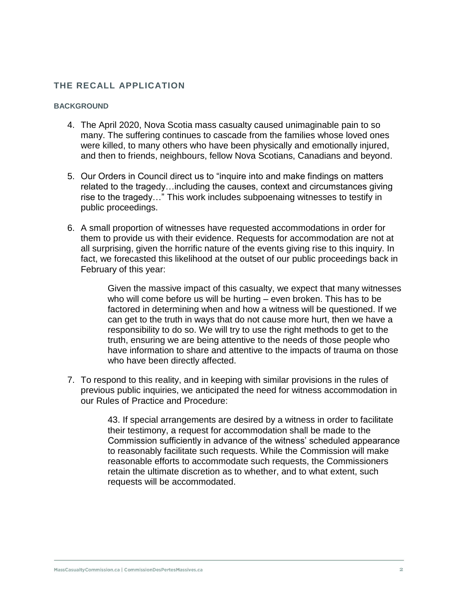# **THE RECALL APPLICATION**

#### **BACKGROUND**

- 4. The April 2020, Nova Scotia mass casualty caused unimaginable pain to so many. The suffering continues to cascade from the families whose loved ones were killed, to many others who have been physically and emotionally injured, and then to friends, neighbours, fellow Nova Scotians, Canadians and beyond.
- 5. Our Orders in Council direct us to "inquire into and make findings on matters related to the tragedy…including the causes, context and circumstances giving rise to the tragedy…" This work includes subpoenaing witnesses to testify in public proceedings.
- 6. A small proportion of witnesses have requested accommodations in order for them to provide us with their evidence. Requests for accommodation are not at all surprising, given the horrific nature of the events giving rise to this inquiry. In fact, we forecasted this likelihood at the outset of our public proceedings back in February of this year:

Given the massive impact of this casualty, we expect that many witnesses who will come before us will be hurting – even broken. This has to be factored in determining when and how a witness will be questioned. If we can get to the truth in ways that do not cause more hurt, then we have a responsibility to do so. We will try to use the right methods to get to the truth, ensuring we are being attentive to the needs of those people who have information to share and attentive to the impacts of trauma on those who have been directly affected.

7. To respond to this reality, and in keeping with similar provisions in the rules of previous public inquiries, we anticipated the need for witness accommodation in our Rules of Practice and Procedure:

> 43. If special arrangements are desired by a witness in order to facilitate their testimony, a request for accommodation shall be made to the Commission sufficiently in advance of the witness' scheduled appearance to reasonably facilitate such requests. While the Commission will make reasonable efforts to accommodate such requests, the Commissioners retain the ultimate discretion as to whether, and to what extent, such requests will be accommodated.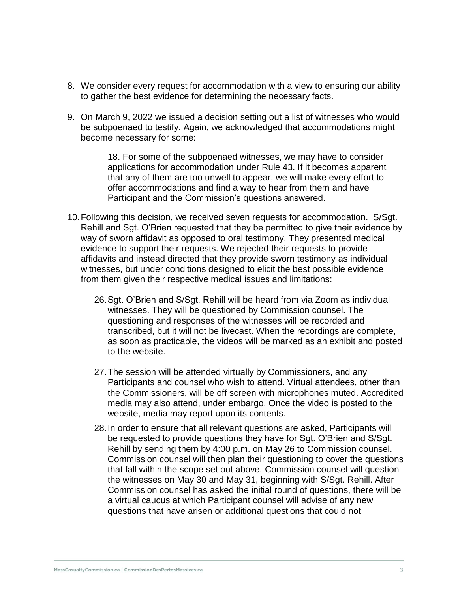- 8. We consider every request for accommodation with a view to ensuring our ability to gather the best evidence for determining the necessary facts.
- 9. On March 9, 2022 we issued a decision setting out a list of witnesses who would be subpoenaed to testify. Again, we acknowledged that accommodations might become necessary for some:

18. For some of the subpoenaed witnesses, we may have to consider applications for accommodation under Rule 43. If it becomes apparent that any of them are too unwell to appear, we will make every effort to offer accommodations and find a way to hear from them and have Participant and the Commission's questions answered.

- 10.Following this decision, we received seven requests for accommodation. S/Sgt. Rehill and Sgt. O'Brien requested that they be permitted to give their evidence by way of sworn affidavit as opposed to oral testimony. They presented medical evidence to support their requests. We rejected their requests to provide affidavits and instead directed that they provide sworn testimony as individual witnesses, but under conditions designed to elicit the best possible evidence from them given their respective medical issues and limitations:
	- 26.Sgt. O'Brien and S/Sgt. Rehill will be heard from via Zoom as individual witnesses. They will be questioned by Commission counsel. The questioning and responses of the witnesses will be recorded and transcribed, but it will not be livecast. When the recordings are complete, as soon as practicable, the videos will be marked as an exhibit and posted to the website.
	- 27.The session will be attended virtually by Commissioners, and any Participants and counsel who wish to attend. Virtual attendees, other than the Commissioners, will be off screen with microphones muted. Accredited media may also attend, under embargo. Once the video is posted to the website, media may report upon its contents.
	- 28.In order to ensure that all relevant questions are asked, Participants will be requested to provide questions they have for Sgt. O'Brien and S/Sgt. Rehill by sending them by 4:00 p.m. on May 26 to Commission counsel. Commission counsel will then plan their questioning to cover the questions that fall within the scope set out above. Commission counsel will question the witnesses on May 30 and May 31, beginning with S/Sgt. Rehill. After Commission counsel has asked the initial round of questions, there will be a virtual caucus at which Participant counsel will advise of any new questions that have arisen or additional questions that could not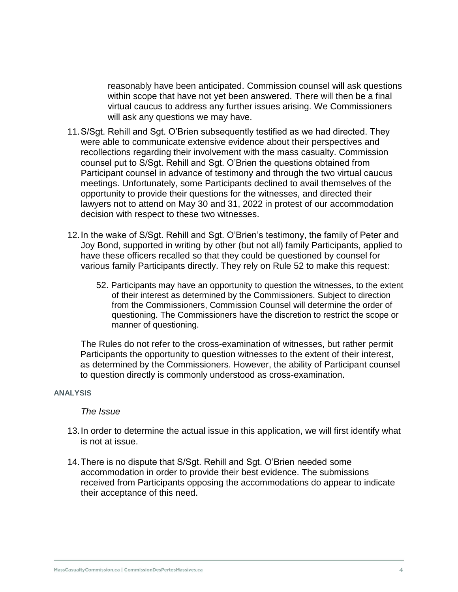reasonably have been anticipated. Commission counsel will ask questions within scope that have not yet been answered. There will then be a final virtual caucus to address any further issues arising. We Commissioners will ask any questions we may have.

- 11.S/Sgt. Rehill and Sgt. O'Brien subsequently testified as we had directed. They were able to communicate extensive evidence about their perspectives and recollections regarding their involvement with the mass casualty. Commission counsel put to S/Sgt. Rehill and Sgt. O'Brien the questions obtained from Participant counsel in advance of testimony and through the two virtual caucus meetings. Unfortunately, some Participants declined to avail themselves of the opportunity to provide their questions for the witnesses, and directed their lawyers not to attend on May 30 and 31, 2022 in protest of our accommodation decision with respect to these two witnesses.
- 12.In the wake of S/Sgt. Rehill and Sgt. O'Brien's testimony, the family of Peter and Joy Bond, supported in writing by other (but not all) family Participants, applied to have these officers recalled so that they could be questioned by counsel for various family Participants directly. They rely on Rule 52 to make this request:
	- 52. Participants may have an opportunity to question the witnesses, to the extent of their interest as determined by the Commissioners. Subject to direction from the Commissioners, Commission Counsel will determine the order of questioning. The Commissioners have the discretion to restrict the scope or manner of questioning.

The Rules do not refer to the cross-examination of witnesses, but rather permit Participants the opportunity to question witnesses to the extent of their interest, as determined by the Commissioners. However, the ability of Participant counsel to question directly is commonly understood as cross-examination.

#### **ANALYSIS**

#### *The Issue*

- 13.In order to determine the actual issue in this application, we will first identify what is not at issue.
- 14.There is no dispute that S/Sgt. Rehill and Sgt. O'Brien needed some accommodation in order to provide their best evidence. The submissions received from Participants opposing the accommodations do appear to indicate their acceptance of this need.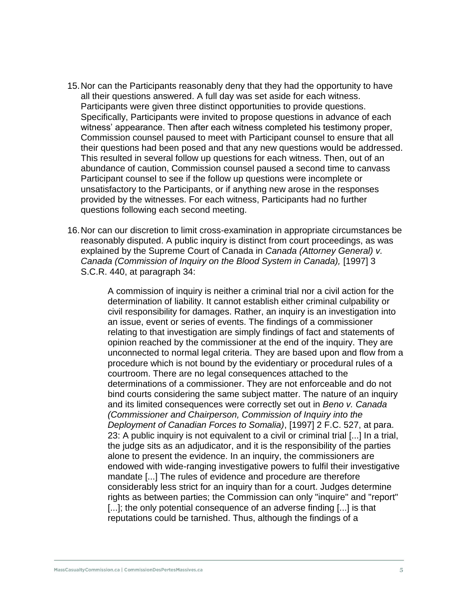- 15.Nor can the Participants reasonably deny that they had the opportunity to have all their questions answered. A full day was set aside for each witness. Participants were given three distinct opportunities to provide questions. Specifically, Participants were invited to propose questions in advance of each witness' appearance. Then after each witness completed his testimony proper, Commission counsel paused to meet with Participant counsel to ensure that all their questions had been posed and that any new questions would be addressed. This resulted in several follow up questions for each witness. Then, out of an abundance of caution, Commission counsel paused a second time to canvass Participant counsel to see if the follow up questions were incomplete or unsatisfactory to the Participants, or if anything new arose in the responses provided by the witnesses. For each witness, Participants had no further questions following each second meeting.
- 16.Nor can our discretion to limit cross-examination in appropriate circumstances be reasonably disputed. A public inquiry is distinct from court proceedings, as was explained by the Supreme Court of Canada in *Canada (Attorney General) v. Canada (Commission of Inquiry on the Blood System in Canada),* [1997] 3 S.C.R. 440, at paragraph 34:

A commission of inquiry is neither a criminal trial nor a civil action for the determination of liability. It cannot establish either criminal culpability or civil responsibility for damages. Rather, an inquiry is an investigation into an issue, event or series of events. The findings of a commissioner relating to that investigation are simply findings of fact and statements of opinion reached by the commissioner at the end of the inquiry. They are unconnected to normal legal criteria. They are based upon and flow from a procedure which is not bound by the evidentiary or procedural rules of a courtroom. There are no legal consequences attached to the determinations of a commissioner. They are not enforceable and do not bind courts considering the same subject matter. The nature of an inquiry and its limited consequences were correctly set out in *Beno v. Canada (Commissioner and Chairperson, Commission of Inquiry into the Deployment of Canadian Forces to Somalia)*, [1997] 2 F.C. 527, at para. 23: A public inquiry is not equivalent to a civil or criminal trial [...] In a trial, the judge sits as an adjudicator, and it is the responsibility of the parties alone to present the evidence. In an inquiry, the commissioners are endowed with wide-ranging investigative powers to fulfil their investigative mandate [...] The rules of evidence and procedure are therefore considerably less strict for an inquiry than for a court. Judges determine rights as between parties; the Commission can only "inquire" and "report" [...]; the only potential consequence of an adverse finding [...] is that reputations could be tarnished. Thus, although the findings of a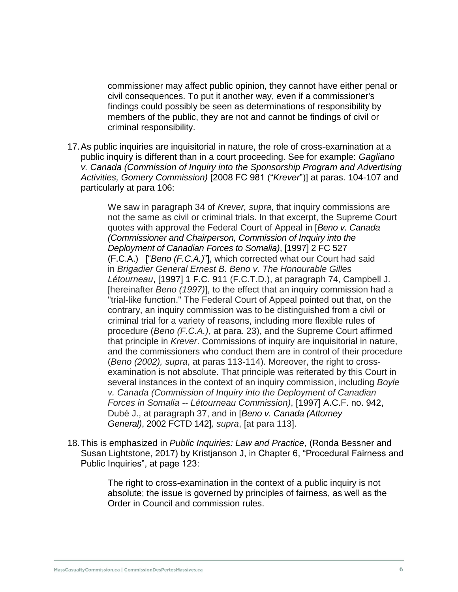commissioner may affect public opinion, they cannot have either penal or civil consequences. To put it another way, even if a commissioner's findings could possibly be seen as determinations of responsibility by members of the public, they are not and cannot be findings of civil or criminal responsibility.

17.As public inquiries are inquisitorial in nature, the role of cross-examination at a public inquiry is different than in a court proceeding. See for example: *Gagliano v. Canada (Commission of Inquiry into the Sponsorship Program and Advertising Activities, Gomery Commission)* [2008 FC 981 ("*Krever*")] at paras. 104-107 and particularly at para 106:

> We saw in paragraph 34 of *Krever, supra*, that inquiry commissions are not the same as civil or criminal trials. In that excerpt, the Supreme Court quotes with approval the Federal Court of Appeal in [*Beno v. Canada (Commissioner and Chairperson, Commission of Inquiry into the Deployment of Canadian Forces to Somalia)*, [1997] 2 FC 527 (F.C.A.) ["*Beno (F.C.A.)*"], which corrected what our Court had said in *Brigadier General Ernest B. Beno v. The Honourable Gilles Létourneau*, [\[1997\]](https://advance.lexis.com/search/?pdmfid=1505209&crid=9c9bbd3f-7e3f-4f94-afdb-7debc7af110d&pdsearchterms=%5B2008%5D+F.C.J.+No.+1220&pdicsfeatureid=1517129&pdstartin=hlct%3A1%3A11&pdcaseshlctselectedbyuser=false&pdtypeofsearch=searchboxclick&pdsearchtype=SearchBox&pdqttype=or&pdquerytemplateid=&ecomp=43z8k&prid=ba92739e-d0c8-413d-a502-4e6762ef7149) 1 F.C. 911 (F.C.T.D.), at paragraph 74, Campbell J. [hereinafter *Beno (1997)*], to the effect that an inquiry commission had a "trial-like function." The Federal Court of Appeal pointed out that, on the contrary, an inquiry commission was to be distinguished from a civil or criminal trial for a variety of reasons, including more flexible rules of procedure (*Beno (F.C.A.)*, at para. 23), and the Supreme Court affirmed that principle in *Krever*. Commissions of inquiry are inquisitorial in nature, and the commissioners who conduct them are in control of their procedure (*Beno (2002), supra*, at paras 113-114). Moreover, the right to crossexamination is not absolute. That principle was reiterated by this Court in several instances in the context of an inquiry commission, including *Boyle v. Canada (Commission of Inquiry into the Deployment of Canadian Forces in Somalia -- Létourneau Commission)*, [1997] A.C.F. no. 942, Dubé J., at paragraph 37, and in [*Beno v. Canada (Attorney General)*, 2002 FCTD 142]*, supra*, [at para 113].

18.This is emphasized in *Public Inquiries: Law and Practice*, (Ronda Bessner and Susan Lightstone, 2017) by Kristjanson J, in Chapter 6, "Procedural Fairness and Public Inquiries", at page 123:

> The right to cross-examination in the context of a public inquiry is not absolute; the issue is governed by principles of fairness, as well as the Order in Council and commission rules.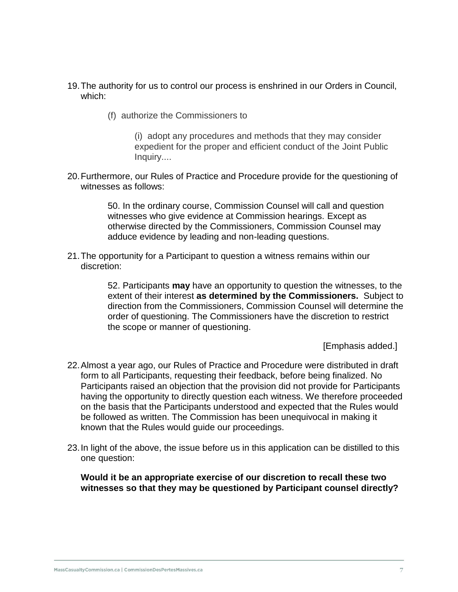- 19.The authority for us to control our process is enshrined in our Orders in Council, which:
	- (f) authorize the Commissioners to

(i) adopt any procedures and methods that they may consider expedient for the proper and efficient conduct of the Joint Public Inquiry....

20.Furthermore, our Rules of Practice and Procedure provide for the questioning of witnesses as follows:

> 50. In the ordinary course, Commission Counsel will call and question witnesses who give evidence at Commission hearings. Except as otherwise directed by the Commissioners, Commission Counsel may adduce evidence by leading and non-leading questions.

21.The opportunity for a Participant to question a witness remains within our discretion:

> 52. Participants **may** have an opportunity to question the witnesses, to the extent of their interest **as determined by the Commissioners.** Subject to direction from the Commissioners, Commission Counsel will determine the order of questioning. The Commissioners have the discretion to restrict the scope or manner of questioning.

> > [Emphasis added.]

- 22.Almost a year ago, our Rules of Practice and Procedure were distributed in draft form to all Participants, requesting their feedback, before being finalized. No Participants raised an objection that the provision did not provide for Participants having the opportunity to directly question each witness. We therefore proceeded on the basis that the Participants understood and expected that the Rules would be followed as written. The Commission has been unequivocal in making it known that the Rules would guide our proceedings.
- 23.In light of the above, the issue before us in this application can be distilled to this one question:

**Would it be an appropriate exercise of our discretion to recall these two witnesses so that they may be questioned by Participant counsel directly?**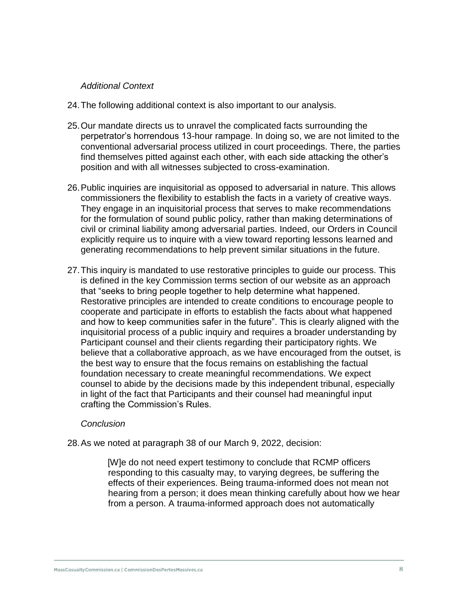# *Additional Context*

- 24.The following additional context is also important to our analysis.
- 25.Our mandate directs us to unravel the complicated facts surrounding the perpetrator's horrendous 13-hour rampage. In doing so, we are not limited to the conventional adversarial process utilized in court proceedings. There, the parties find themselves pitted against each other, with each side attacking the other's position and with all witnesses subjected to cross-examination.
- 26.Public inquiries are inquisitorial as opposed to adversarial in nature. This allows commissioners the flexibility to establish the facts in a variety of creative ways. They engage in an inquisitorial process that serves to make recommendations for the formulation of sound public policy, rather than making determinations of civil or criminal liability among adversarial parties. Indeed, our Orders in Council explicitly require us to inquire with a view toward reporting lessons learned and generating recommendations to help prevent similar situations in the future.
- 27.This inquiry is mandated to use restorative principles to guide our process. This is defined in the key Commission terms section of our website as an approach that "seeks to bring people together to help determine what happened. Restorative principles are intended to create conditions to encourage people to cooperate and participate in efforts to establish the facts about what happened and how to keep communities safer in the future". This is clearly aligned with the inquisitorial process of a public inquiry and requires a broader understanding by Participant counsel and their clients regarding their participatory rights. We believe that a collaborative approach, as we have encouraged from the outset, is the best way to ensure that the focus remains on establishing the factual foundation necessary to create meaningful recommendations. We expect counsel to abide by the decisions made by this independent tribunal, especially in light of the fact that Participants and their counsel had meaningful input crafting the Commission's Rules.

## *Conclusion*

28.As we noted at paragraph 38 of our March 9, 2022, decision:

[W]e do not need expert testimony to conclude that RCMP officers responding to this casualty may, to varying degrees, be suffering the effects of their experiences. Being trauma-informed does not mean not hearing from a person; it does mean thinking carefully about how we hear from a person. A trauma-informed approach does not automatically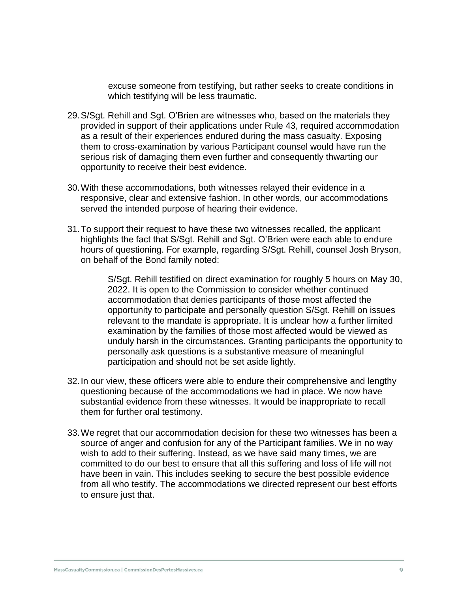excuse someone from testifying, but rather seeks to create conditions in which testifying will be less traumatic.

- 29.S/Sgt. Rehill and Sgt. O'Brien are witnesses who, based on the materials they provided in support of their applications under Rule 43, required accommodation as a result of their experiences endured during the mass casualty. Exposing them to cross-examination by various Participant counsel would have run the serious risk of damaging them even further and consequently thwarting our opportunity to receive their best evidence.
- 30.With these accommodations, both witnesses relayed their evidence in a responsive, clear and extensive fashion. In other words, our accommodations served the intended purpose of hearing their evidence.
- 31.To support their request to have these two witnesses recalled, the applicant highlights the fact that S/Sgt. Rehill and Sgt. O'Brien were each able to endure hours of questioning. For example, regarding S/Sgt. Rehill, counsel Josh Bryson, on behalf of the Bond family noted:

S/Sgt. Rehill testified on direct examination for roughly 5 hours on May 30, 2022. It is open to the Commission to consider whether continued accommodation that denies participants of those most affected the opportunity to participate and personally question S/Sgt. Rehill on issues relevant to the mandate is appropriate. It is unclear how a further limited examination by the families of those most affected would be viewed as unduly harsh in the circumstances. Granting participants the opportunity to personally ask questions is a substantive measure of meaningful participation and should not be set aside lightly.

- 32.In our view, these officers were able to endure their comprehensive and lengthy questioning because of the accommodations we had in place. We now have substantial evidence from these witnesses. It would be inappropriate to recall them for further oral testimony.
- 33.We regret that our accommodation decision for these two witnesses has been a source of anger and confusion for any of the Participant families. We in no way wish to add to their suffering. Instead, as we have said many times, we are committed to do our best to ensure that all this suffering and loss of life will not have been in vain. This includes seeking to secure the best possible evidence from all who testify. The accommodations we directed represent our best efforts to ensure just that.